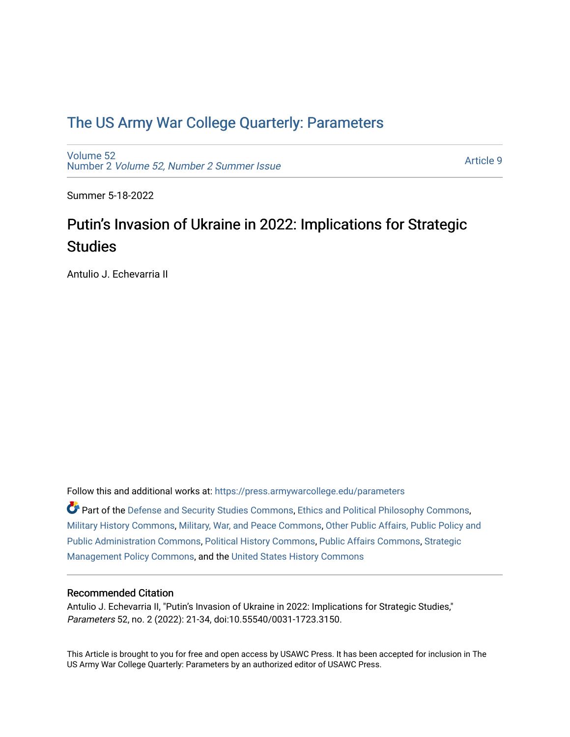# [The US Army War College Quarterly: Parameters](https://press.armywarcollege.edu/parameters)

[Volume 52](https://press.armywarcollege.edu/parameters/vol52) Number 2 [Volume 52, Number 2 Summer Issue](https://press.armywarcollege.edu/parameters/vol52/iss2)

[Article 9](https://press.armywarcollege.edu/parameters/vol52/iss2/9) 

Summer 5-18-2022

# Putin's Invasion of Ukraine in 2022: Implications for Strategic **Studies**

Antulio J. Echevarria II

Follow this and additional works at: [https://press.armywarcollege.edu/parameters](https://press.armywarcollege.edu/parameters?utm_source=press.armywarcollege.edu%2Fparameters%2Fvol52%2Fiss2%2F9&utm_medium=PDF&utm_campaign=PDFCoverPages) 

Part of the [Defense and Security Studies Commons](https://network.bepress.com/hgg/discipline/394?utm_source=press.armywarcollege.edu%2Fparameters%2Fvol52%2Fiss2%2F9&utm_medium=PDF&utm_campaign=PDFCoverPages), [Ethics and Political Philosophy Commons](https://network.bepress.com/hgg/discipline/529?utm_source=press.armywarcollege.edu%2Fparameters%2Fvol52%2Fiss2%2F9&utm_medium=PDF&utm_campaign=PDFCoverPages), [Military History Commons,](https://network.bepress.com/hgg/discipline/504?utm_source=press.armywarcollege.edu%2Fparameters%2Fvol52%2Fiss2%2F9&utm_medium=PDF&utm_campaign=PDFCoverPages) [Military, War, and Peace Commons,](https://network.bepress.com/hgg/discipline/861?utm_source=press.armywarcollege.edu%2Fparameters%2Fvol52%2Fiss2%2F9&utm_medium=PDF&utm_campaign=PDFCoverPages) [Other Public Affairs, Public Policy and](https://network.bepress.com/hgg/discipline/403?utm_source=press.armywarcollege.edu%2Fparameters%2Fvol52%2Fiss2%2F9&utm_medium=PDF&utm_campaign=PDFCoverPages)  [Public Administration Commons,](https://network.bepress.com/hgg/discipline/403?utm_source=press.armywarcollege.edu%2Fparameters%2Fvol52%2Fiss2%2F9&utm_medium=PDF&utm_campaign=PDFCoverPages) [Political History Commons,](https://network.bepress.com/hgg/discipline/505?utm_source=press.armywarcollege.edu%2Fparameters%2Fvol52%2Fiss2%2F9&utm_medium=PDF&utm_campaign=PDFCoverPages) [Public Affairs Commons,](https://network.bepress.com/hgg/discipline/399?utm_source=press.armywarcollege.edu%2Fparameters%2Fvol52%2Fiss2%2F9&utm_medium=PDF&utm_campaign=PDFCoverPages) [Strategic](https://network.bepress.com/hgg/discipline/642?utm_source=press.armywarcollege.edu%2Fparameters%2Fvol52%2Fiss2%2F9&utm_medium=PDF&utm_campaign=PDFCoverPages)  [Management Policy Commons,](https://network.bepress.com/hgg/discipline/642?utm_source=press.armywarcollege.edu%2Fparameters%2Fvol52%2Fiss2%2F9&utm_medium=PDF&utm_campaign=PDFCoverPages) and the [United States History Commons](https://network.bepress.com/hgg/discipline/495?utm_source=press.armywarcollege.edu%2Fparameters%2Fvol52%2Fiss2%2F9&utm_medium=PDF&utm_campaign=PDFCoverPages)

## Recommended Citation

Antulio J. Echevarria II, "Putin's Invasion of Ukraine in 2022: Implications for Strategic Studies," Parameters 52, no. 2 (2022): 21-34, doi:10.55540/0031-1723.3150.

This Article is brought to you for free and open access by USAWC Press. It has been accepted for inclusion in The US Army War College Quarterly: Parameters by an authorized editor of USAWC Press.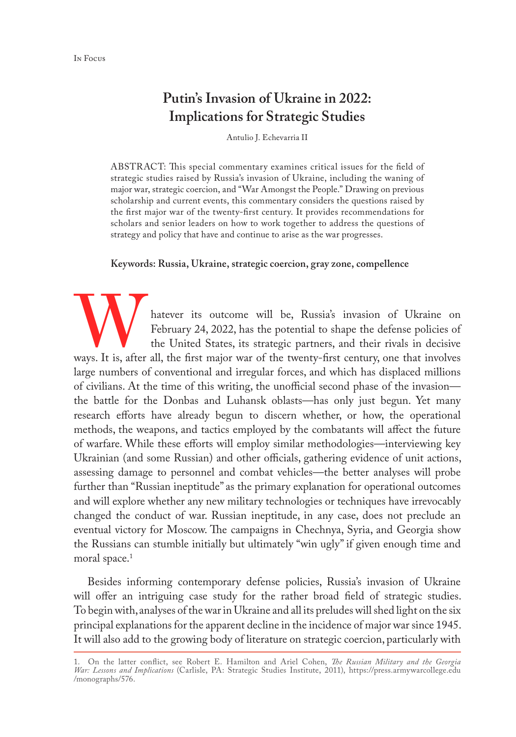# **Putin's Invasion of Ukraine in 2022: Implications for Strategic Studies**

Antulio J. Echevarria II

ABSTRACT: This special commentary examines critical issues for the field of strategic studies raised by Russia's invasion of Ukraine, including the waning of major war, strategic coercion, and "War Amongst the People." Drawing on previous scholarship and current events, this commentary considers the questions raised by the first major war of the twenty-first century. It provides recommendations for scholars and senior leaders on how to work together to address the questions of strategy and policy that have and continue to arise as the war progresses.

#### **Keywords: Russia, Ukraine, strategic coercion, gray zone, compellence**

Watever its outcome will be, Russia's invasion of Ukraine on February 24, 2022, has the potential to shape the defense policies of the United States, its strategic partners, and their rivals in decisive ways. It is, after February 24, 2022, has the potential to shape the defense policies of the United States, its strategic partners, and their rivals in decisive large numbers of conventional and irregular forces, and which has displaced millions of civilians. At the time of this writing, the unofficial second phase of the invasion the battle for the Donbas and Luhansk oblasts—has only just begun. Yet many research efforts have already begun to discern whether, or how, the operational methods, the weapons, and tactics employed by the combatants will affect the future of warfare. While these efforts will employ similar methodologies—interviewing key Ukrainian (and some Russian) and other officials, gathering evidence of unit actions, assessing damage to personnel and combat vehicles—the better analyses will probe further than "Russian ineptitude" as the primary explanation for operational outcomes and will explore whether any new military technologies or techniques have irrevocably changed the conduct of war. Russian ineptitude, in any case, does not preclude an eventual victory for Moscow. The campaigns in Chechnya, Syria, and Georgia show the Russians can stumble initially but ultimately "win ugly" if given enough time and moral space.<sup>1</sup>

Besides informing contemporary defense policies, Russia's invasion of Ukraine will offer an intriguing case study for the rather broad field of strategic studies. To begin with, analyses of the war in Ukraine and all its preludes will shed light on the six principal explanations for the apparent decline in the incidence of major war since 1945. It will also add to the growing body of literature on strategic coercion, particularly with

<sup>1.</sup> On the latter conflict, see Robert E. Hamilton and Ariel Cohen, *The Russian Military and the Georgia War: Lessons and Implications* (Carlisle, PA: Strategic Studies Institute, 2011), [https://press.armywarcollege.edu](https://press.armywarcollege.edu/monographs/576) [/monographs/576](https://press.armywarcollege.edu/monographs/576).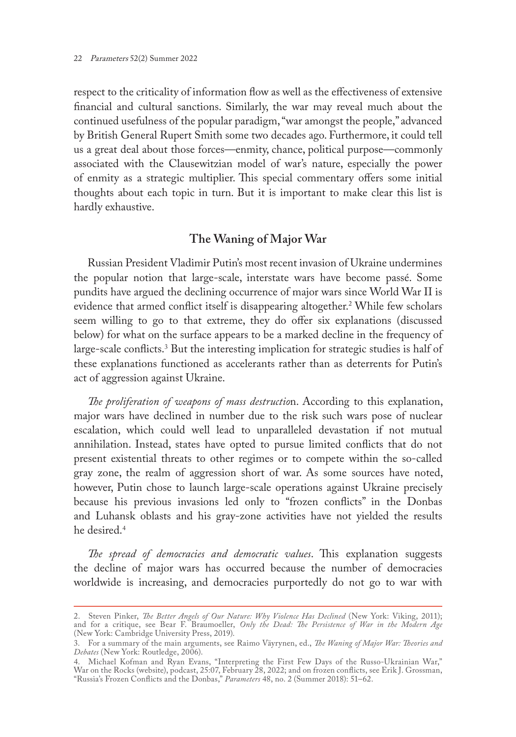respect to the criticality of information flow as well as the effectiveness of extensive financial and cultural sanctions. Similarly, the war may reveal much about the continued usefulness of the popular paradigm, "war amongst the people," advanced by British General Rupert Smith some two decades ago. Furthermore, it could tell us a great deal about those forces—enmity, chance, political purpose—commonly associated with the Clausewitzian model of war's nature, especially the power of enmity as a strategic multiplier. This special commentary offers some initial thoughts about each topic in turn. But it is important to make clear this list is hardly exhaustive.

## **The Waning of Major War**

Russian President Vladimir Putin's most recent invasion of Ukraine undermines the popular notion that large-scale, interstate wars have become passé. Some pundits have argued the declining occurrence of major wars since World War II is evidence that armed conflict itself is disappearing altogether.2 While few scholars seem willing to go to that extreme, they do offer six explanations (discussed below) for what on the surface appears to be a marked decline in the frequency of large-scale conflicts.3 But the interesting implication for strategic studies is half of these explanations functioned as accelerants rather than as deterrents for Putin's act of aggression against Ukraine.

*The proliferation of weapons of mass destructio*n. According to this explanation, major wars have declined in number due to the risk such wars pose of nuclear escalation, which could well lead to unparalleled devastation if not mutual annihilation. Instead, states have opted to pursue limited conflicts that do not present existential threats to other regimes or to compete within the so-called gray zone, the realm of aggression short of war. As some sources have noted, however, Putin chose to launch large-scale operations against Ukraine precisely because his previous invasions led only to "frozen conflicts" in the Donbas and Luhansk oblasts and his gray-zone activities have not yielded the results he desired.<sup>4</sup>

*The spread of democracies and democratic values*. This explanation suggests the decline of major wars has occurred because the number of democracies worldwide is increasing, and democracies purportedly do not go to war with

<sup>2.</sup> Steven Pinker, *The Better Angels of Our Nature: Why Violence Has Declined* (New York: Viking, 2011); and for a critique, see Bear F. Braumoeller, *Only the Dead: The Persistence of War in the Modern Age* (New York: Cambridge University Press, 2019).

<sup>3.</sup> For a summary of the main arguments, see Raimo Väyrynen, ed., *The Waning of Major War: Theories and Debates* (New York: Routledge, 2006).

<sup>4.</sup> Michael Kofman and Ryan Evans, "Interpreting the First Few Days of the Russo-Ukrainian War," War on the Rocks (website), podcast, 25:07, February 28, 2022; and on frozen conflicts, see Erik J. Grossman, "Russia's Frozen Conflicts and the Donbas," *Parameters* 48, no. 2 (Summer 2018): 51–62.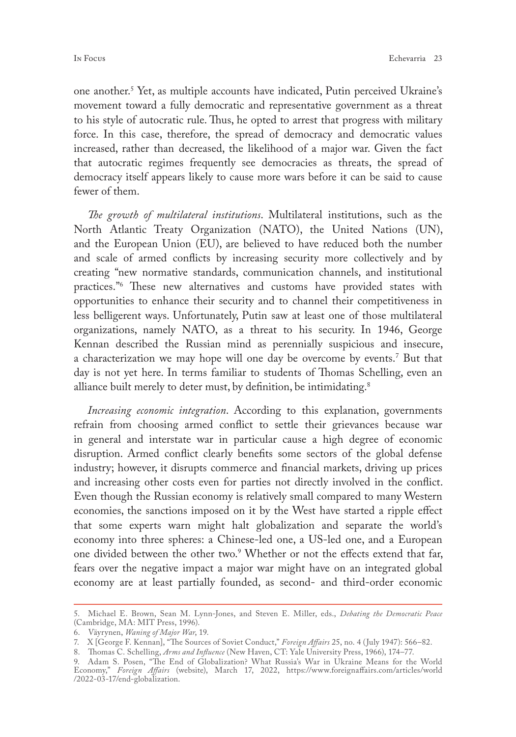one another.5 Yet, as multiple accounts have indicated, Putin perceived Ukraine's movement toward a fully democratic and representative government as a threat to his style of autocratic rule. Thus, he opted to arrest that progress with military force. In this case, therefore, the spread of democracy and democratic values increased, rather than decreased, the likelihood of a major war. Given the fact that autocratic regimes frequently see democracies as threats, the spread of democracy itself appears likely to cause more wars before it can be said to cause fewer of them.

*The growth of multilateral institutions*. Multilateral institutions, such as the North Atlantic Treaty Organization (NATO), the United Nations (UN), and the European Union (EU), are believed to have reduced both the number and scale of armed conflicts by increasing security more collectively and by creating "new normative standards, communication channels, and institutional practices."6 These new alternatives and customs have provided states with opportunities to enhance their security and to channel their competitiveness in less belligerent ways. Unfortunately, Putin saw at least one of those multilateral organizations, namely NATO, as a threat to his security. In 1946, George Kennan described the Russian mind as perennially suspicious and insecure, a characterization we may hope will one day be overcome by events.7 But that day is not yet here. In terms familiar to students of Thomas Schelling, even an alliance built merely to deter must, by definition, be intimidating.<sup>8</sup>

*Increasing economic integration*. According to this explanation, governments refrain from choosing armed conflict to settle their grievances because war in general and interstate war in particular cause a high degree of economic disruption. Armed conflict clearly benefits some sectors of the global defense industry; however, it disrupts commerce and financial markets, driving up prices and increasing other costs even for parties not directly involved in the conflict. Even though the Russian economy is relatively small compared to many Western economies, the sanctions imposed on it by the West have started a ripple effect that some experts warn might halt globalization and separate the world's economy into three spheres: a Chinese-led one, a US-led one, and a European one divided between the other two.<sup>9</sup> Whether or not the effects extend that far, fears over the negative impact a major war might have on an integrated global economy are at least partially founded, as second- and third-order economic

<sup>5.</sup> Michael E. Brown, Sean M. Lynn-Jones, and Steven E. Miller, eds., *Debating the Democratic Peace* (Cambridge, MA: MIT Press, 1996).

<sup>6.</sup> Väyrynen, *Waning of Major War*, 19.

<sup>7.</sup> X [George F. Kennan], "The Sources of Soviet Conduct," *Foreign Affairs* 25, no. 4 (July 1947): 566–82.

<sup>8.</sup> Thomas C. Schelling, *Arms and Influence* (New Haven, CT: Yale University Press, 1966), 174–77.

<sup>9.</sup> Adam S. Posen, "The End of Globalization? What Russia's War in Ukraine Means for the World Economy," *Foreign Affairs* (website), March 17, 2022, [https://www.foreignaffairs.com/articles/world](https://www.foreignaffairs.com/articles/world/2022-03-17/end-globalization) [/2022-03-17/end-globalization.](https://www.foreignaffairs.com/articles/world/2022-03-17/end-globalization)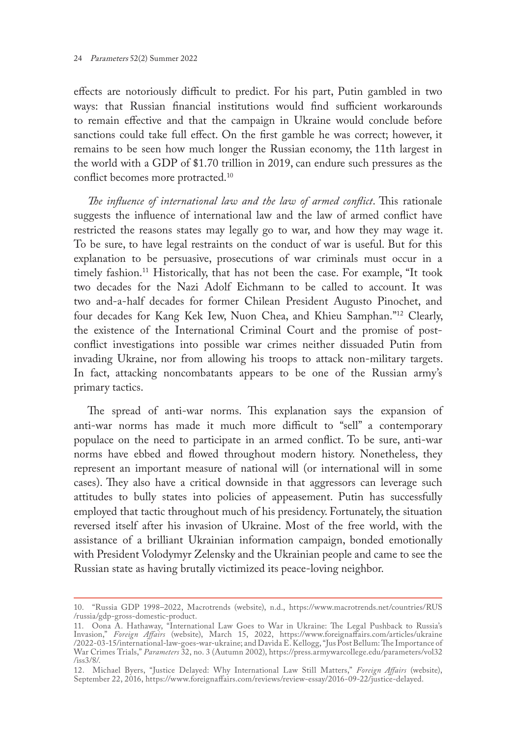effects are notoriously difficult to predict. For his part, Putin gambled in two ways: that Russian financial institutions would find sufficient workarounds to remain effective and that the campaign in Ukraine would conclude before sanctions could take full effect. On the first gamble he was correct; however, it remains to be seen how much longer the Russian economy, the 11th largest in the world with a GDP of \$1.70 trillion in 2019, can endure such pressures as the conflict becomes more protracted.<sup>10</sup>

*The influence of international law and the law of armed conflict*. This rationale suggests the influence of international law and the law of armed conflict have restricted the reasons states may legally go to war, and how they may wage it. To be sure, to have legal restraints on the conduct of war is useful. But for this explanation to be persuasive, prosecutions of war criminals must occur in a timely fashion.<sup>11</sup> Historically, that has not been the case. For example, "It took two decades for the Nazi Adolf Eichmann to be called to account. It was two and-a-half decades for former Chilean President Augusto Pinochet, and four decades for Kang Kek Iew, Nuon Chea, and Khieu Samphan."12 Clearly, the existence of the International Criminal Court and the promise of postconflict investigations into possible war crimes neither dissuaded Putin from invading Ukraine, nor from allowing his troops to attack non-military targets. In fact, attacking noncombatants appears to be one of the Russian army's primary tactics.

The spread of anti-war norms. This explanation says the expansion of anti-war norms has made it much more difficult to "sell" a contemporary populace on the need to participate in an armed conflict. To be sure, anti-war norms have ebbed and flowed throughout modern history. Nonetheless, they represent an important measure of national will (or international will in some cases). They also have a critical downside in that aggressors can leverage such attitudes to bully states into policies of appeasement. Putin has successfully employed that tactic throughout much of his presidency. Fortunately, the situation reversed itself after his invasion of Ukraine. Most of the free world, with the assistance of a brilliant Ukrainian information campaign, bonded emotionally with President Volodymyr Zelensky and the Ukrainian people and came to see the Russian state as having brutally victimized its peace-loving neighbor.

<sup>10.</sup> "Russia GDP 1998–2022, Macrotrends (website), n.d., [https://www.macrotrends.net/countries/RUS](https://www.macrotrends.net/countries/RUS/russia/gdp-gross-domestic-product) [/russia/gdp-gross-domestic-product](https://www.macrotrends.net/countries/RUS/russia/gdp-gross-domestic-product).

<sup>11.</sup> Oona A. Hathaway, "International Law Goes to War in Ukraine: The Legal Pushback to Russia's Invasion," *Foreign Affairs* (website), March 15, 2022, [https://www.foreignaffairs.com/articles/ukraine](https://www.foreignaffairs.com/articles/ukraine/2022-03-15/international-law-goes-war-ukraine) [/2022-03-15/international-law-goes-war-ukraine](https://www.foreignaffairs.com/articles/ukraine/2022-03-15/international-law-goes-war-ukraine); and Davida E. Kellogg, "Jus Post Bellum: The Importance of War Crimes Trials," *Parameters* 32, no. 3 (Autumn 2002), [https://press.armywarcollege.edu/parameters/vol32](https://press.armywarcollege.edu/parameters/vol32/iss3/8/) [/iss3/8/](https://press.armywarcollege.edu/parameters/vol32/iss3/8/).

<sup>12.</sup> Michael Byers, "Justice Delayed: Why International Law Still Matters," *Foreign Affairs* (website), September 22, 2016, [https://www.foreignaffairs.com/reviews/review-essay/2016-09-22/justice-delayed.](https://www.foreignaffairs.com/reviews/review-essay/2016-09-22/justice-delayed)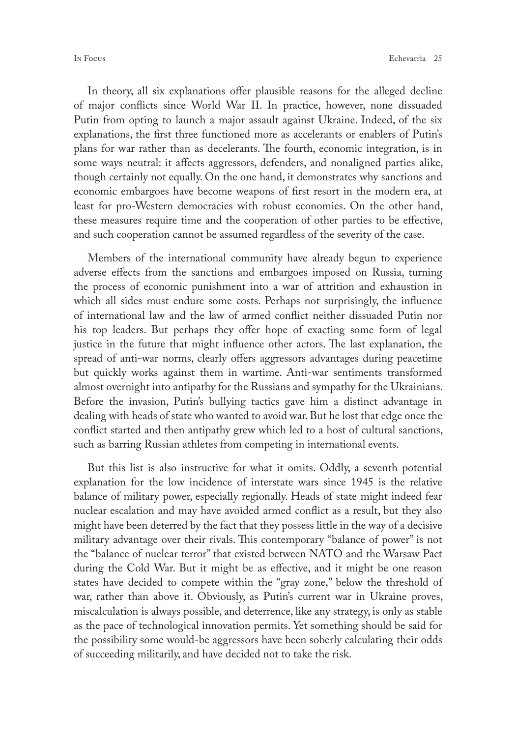In theory, all six explanations offer plausible reasons for the alleged decline of major conflicts since World War II. In practice, however, none dissuaded Putin from opting to launch a major assault against Ukraine. Indeed, of the six explanations, the first three functioned more as accelerants or enablers of Putin's plans for war rather than as decelerants. The fourth, economic integration, is in some ways neutral: it affects aggressors, defenders, and nonaligned parties alike, though certainly not equally. On the one hand, it demonstrates why sanctions and economic embargoes have become weapons of first resort in the modern era, at least for pro-Western democracies with robust economies. On the other hand, these measures require time and the cooperation of other parties to be effective, and such cooperation cannot be assumed regardless of the severity of the case.

Members of the international community have already begun to experience adverse effects from the sanctions and embargoes imposed on Russia, turning the process of economic punishment into a war of attrition and exhaustion in which all sides must endure some costs. Perhaps not surprisingly, the influence of international law and the law of armed conflict neither dissuaded Putin nor his top leaders. But perhaps they offer hope of exacting some form of legal justice in the future that might influence other actors. The last explanation, the spread of anti-war norms, clearly offers aggressors advantages during peacetime but quickly works against them in wartime. Anti-war sentiments transformed almost overnight into antipathy for the Russians and sympathy for the Ukrainians. Before the invasion, Putin's bullying tactics gave him a distinct advantage in dealing with heads of state who wanted to avoid war. But he lost that edge once the conflict started and then antipathy grew which led to a host of cultural sanctions, such as barring Russian athletes from competing in international events.

But this list is also instructive for what it omits. Oddly, a seventh potential explanation for the low incidence of interstate wars since 1945 is the relative balance of military power, especially regionally. Heads of state might indeed fear nuclear escalation and may have avoided armed conflict as a result, but they also might have been deterred by the fact that they possess little in the way of a decisive military advantage over their rivals. This contemporary "balance of power" is not the "balance of nuclear terror" that existed between NATO and the Warsaw Pact during the Cold War. But it might be as effective, and it might be one reason states have decided to compete within the "gray zone," below the threshold of war, rather than above it. Obviously, as Putin's current war in Ukraine proves, miscalculation is always possible, and deterrence, like any strategy, is only as stable as the pace of technological innovation permits. Yet something should be said for the possibility some would-be aggressors have been soberly calculating their odds of succeeding militarily, and have decided not to take the risk.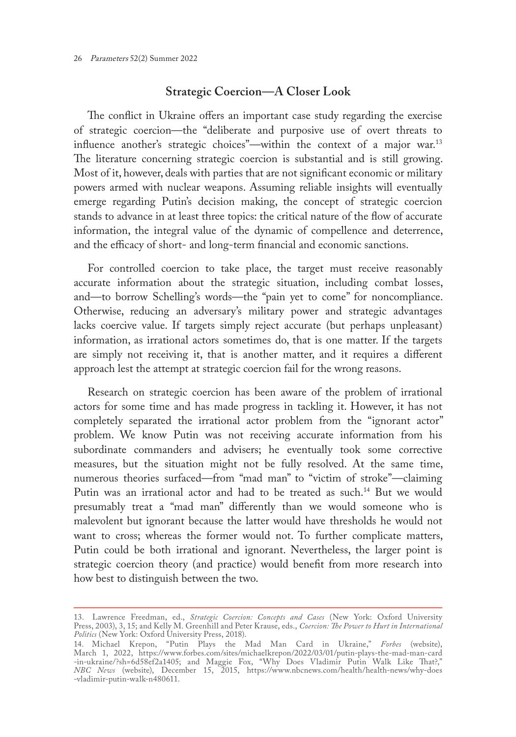#### **Strategic Coercion—A Closer Look**

The conflict in Ukraine offers an important case study regarding the exercise of strategic coercion—the "deliberate and purposive use of overt threats to influence another's strategic choices"-within the context of a major war.<sup>13</sup> The literature concerning strategic coercion is substantial and is still growing. Most of it, however, deals with parties that are not significant economic or military powers armed with nuclear weapons. Assuming reliable insights will eventually emerge regarding Putin's decision making, the concept of strategic coercion stands to advance in at least three topics: the critical nature of the flow of accurate information, the integral value of the dynamic of compellence and deterrence, and the efficacy of short- and long-term financial and economic sanctions.

For controlled coercion to take place, the target must receive reasonably accurate information about the strategic situation, including combat losses, and—to borrow Schelling's words—the "pain yet to come" for noncompliance. Otherwise, reducing an adversary's military power and strategic advantages lacks coercive value. If targets simply reject accurate (but perhaps unpleasant) information, as irrational actors sometimes do, that is one matter. If the targets are simply not receiving it, that is another matter, and it requires a different approach lest the attempt at strategic coercion fail for the wrong reasons.

Research on strategic coercion has been aware of the problem of irrational actors for some time and has made progress in tackling it. However, it has not completely separated the irrational actor problem from the "ignorant actor" problem. We know Putin was not receiving accurate information from his subordinate commanders and advisers; he eventually took some corrective measures, but the situation might not be fully resolved. At the same time, numerous theories surfaced—from "mad man" to "victim of stroke"—claiming Putin was an irrational actor and had to be treated as such.<sup>14</sup> But we would presumably treat a "mad man" differently than we would someone who is malevolent but ignorant because the latter would have thresholds he would not want to cross; whereas the former would not. To further complicate matters, Putin could be both irrational and ignorant. Nevertheless, the larger point is strategic coercion theory (and practice) would benefit from more research into how best to distinguish between the two.

<sup>13.</sup> Lawrence Freedman, ed., *Strategic Coercion: Concepts and Cases* (New York: Oxford University Press, 2003), 3, 15; and Kelly M. Greenhill and Peter Krause, eds., *Coercion: The Power to Hurt in International Politics* (New York: Oxford University Press, 2018).

<sup>14.</sup> Michael Krepon, "Putin Plays the Mad Man Card in Ukraine," *Forbes* (website), March 1, 2022, [https://www.forbes.com/sites/michaelkrepon/2022/03/01/putin-plays-the-mad-man-card](https://www.forbes.com/sites/michaelkrepon/2022/03/01/putin-plays-the-mad-man-card-in-ukraine/?sh=6d58ef2a1405) [-in-ukraine/?sh=6d58ef2a1405;](https://www.forbes.com/sites/michaelkrepon/2022/03/01/putin-plays-the-mad-man-card-in-ukraine/?sh=6d58ef2a1405) and Maggie Fox, "Why Does Vladimir Putin Walk Like That?," *NBC News* (website), December 15, 2015, [https://www.nbcnews.com/health/health-news/why-does](https://www.nbcnews.com/health/health-news/why-does-vladimir-putin-walk-n480611) [-vladimir-putin-walk-n480611.](https://www.nbcnews.com/health/health-news/why-does-vladimir-putin-walk-n480611)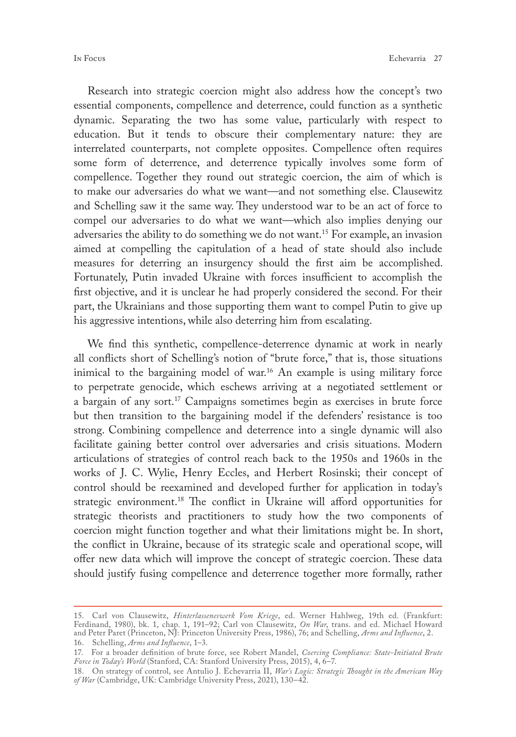Research into strategic coercion might also address how the concept's two essential components, compellence and deterrence, could function as a synthetic dynamic. Separating the two has some value, particularly with respect to education. But it tends to obscure their complementary nature: they are interrelated counterparts, not complete opposites. Compellence often requires some form of deterrence, and deterrence typically involves some form of compellence. Together they round out strategic coercion, the aim of which is to make our adversaries do what we want—and not something else. Clausewitz and Schelling saw it the same way. They understood war to be an act of force to compel our adversaries to do what we want—which also implies denying our adversaries the ability to do something we do not want.<sup>15</sup> For example, an invasion aimed at compelling the capitulation of a head of state should also include measures for deterring an insurgency should the first aim be accomplished. Fortunately, Putin invaded Ukraine with forces insufficient to accomplish the first objective, and it is unclear he had properly considered the second. For their part, the Ukrainians and those supporting them want to compel Putin to give up his aggressive intentions, while also deterring him from escalating.

We find this synthetic, compellence-deterrence dynamic at work in nearly all conflicts short of Schelling's notion of "brute force," that is, those situations inimical to the bargaining model of war.<sup>16</sup> An example is using military force to perpetrate genocide, which eschews arriving at a negotiated settlement or a bargain of any sort.<sup>17</sup> Campaigns sometimes begin as exercises in brute force but then transition to the bargaining model if the defenders' resistance is too strong. Combining compellence and deterrence into a single dynamic will also facilitate gaining better control over adversaries and crisis situations. Modern articulations of strategies of control reach back to the 1950s and 1960s in the works of J. C. Wylie, Henry Eccles, and Herbert Rosinski; their concept of control should be reexamined and developed further for application in today's strategic environment.<sup>18</sup> The conflict in Ukraine will afford opportunities for strategic theorists and practitioners to study how the two components of coercion might function together and what their limitations might be. In short, the conflict in Ukraine, because of its strategic scale and operational scope, will offer new data which will improve the concept of strategic coercion. These data should justify fusing compellence and deterrence together more formally, rather

<sup>15.</sup> Carl von Clausewitz, *Hinterlasseneswerk Vom Kriege*, ed. Werner Hahlweg, 19th ed. (Frankfurt: Ferdinand, 1980), bk. 1, chap. 1, 191–92; Carl von Clausewitz, *On War*, trans. and ed. Michael Howard and Peter Paret (Princeton, NJ: Princeton University Press, 1986), 76; and Schelling, *Arms and Influence*, 2. 16. Schelling, *Arms and Influence*, 1–3.

<sup>17.</sup> For a broader definition of brute force, see Robert Mandel, *Coercing Compliance: State-Initiated Brute Force in Today's World* (Stanford, CA: Stanford University Press, 2015), 4, 6–7.

<sup>18.</sup> On strategy of control, see Antulio J. Echevarria II, *War's Logic: Strategic Thought in the American Way of War* (Cambridge, UK: Cambridge University Press, 2021), 130–42.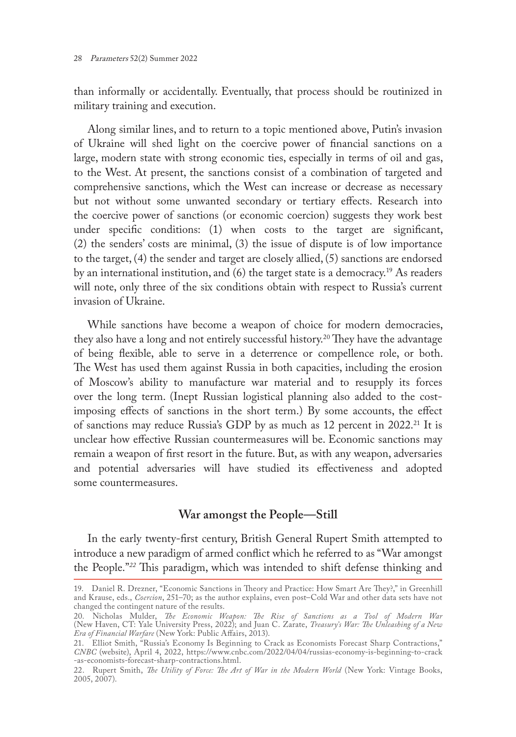than informally or accidentally. Eventually, that process should be routinized in military training and execution.

Along similar lines, and to return to a topic mentioned above, Putin's invasion of Ukraine will shed light on the coercive power of financial sanctions on a large, modern state with strong economic ties, especially in terms of oil and gas, to the West. At present, the sanctions consist of a combination of targeted and comprehensive sanctions, which the West can increase or decrease as necessary but not without some unwanted secondary or tertiary effects. Research into the coercive power of sanctions (or economic coercion) suggests they work best under specific conditions: (1) when costs to the target are significant, (2) the senders' costs are minimal, (3) the issue of dispute is of low importance to the target, (4) the sender and target are closely allied, (5) sanctions are endorsed by an international institution, and  $(6)$  the target state is a democracy.<sup>19</sup> As readers will note, only three of the six conditions obtain with respect to Russia's current invasion of Ukraine.

While sanctions have become a weapon of choice for modern democracies, they also have a long and not entirely successful history.<sup>20</sup> They have the advantage of being flexible, able to serve in a deterrence or compellence role, or both. The West has used them against Russia in both capacities, including the erosion of Moscow's ability to manufacture war material and to resupply its forces over the long term. (Inept Russian logistical planning also added to the costimposing effects of sanctions in the short term.) By some accounts, the effect of sanctions may reduce Russia's GDP by as much as 12 percent in 2022.<sup>21</sup> It is unclear how effective Russian countermeasures will be. Economic sanctions may remain a weapon of first resort in the future. But, as with any weapon, adversaries and potential adversaries will have studied its effectiveness and adopted some countermeasures.

### **War amongst the People—Still**

In the early twenty-first century, British General Rupert Smith attempted to introduce a new paradigm of armed conflict which he referred to as "War amongst the People."*<sup>22</sup>* This paradigm, which was intended to shift defense thinking and

<sup>19.</sup> Daniel R. Drezner, "Economic Sanctions in Theory and Practice: How Smart Are They?," in Greenhill and Krause, eds., *Coercion*, 251–70; as the author explains, even post–Cold War and other data sets have not changed the contingent nature of the results.

<sup>20.</sup> Nicholas Mulder, *The Economic Weapon: The Rise of Sanctions as a Tool of Modern War* (New Haven, CT: Yale University Press, 2022); and Juan C. Zarate, *Treasury's War: The Unleashing of a New Era of Financial Warfare* (New York: Public Affairs, 2013).

<sup>21.</sup> Elliot Smith, "Russia's Economy Is Beginning to Crack as Economists Forecast Sharp Contractions," *CNBC* (website), April 4, 2022, [https://www.cnbc.com/2022/04/04/russias-economy-is-beginning-to-crack](https://www.cnbc.com/2022/04/04/russias-economy-is-beginning-to-crack-as-economists-forecast-sharp-contractions.html) [-as-economists-forecast-sharp-contractions.html.](https://www.cnbc.com/2022/04/04/russias-economy-is-beginning-to-crack-as-economists-forecast-sharp-contractions.html)

<sup>22.</sup> Rupert Smith, *The Utility of Force: The Art of War in the Modern World* (New York: Vintage Books, 2005, 2007).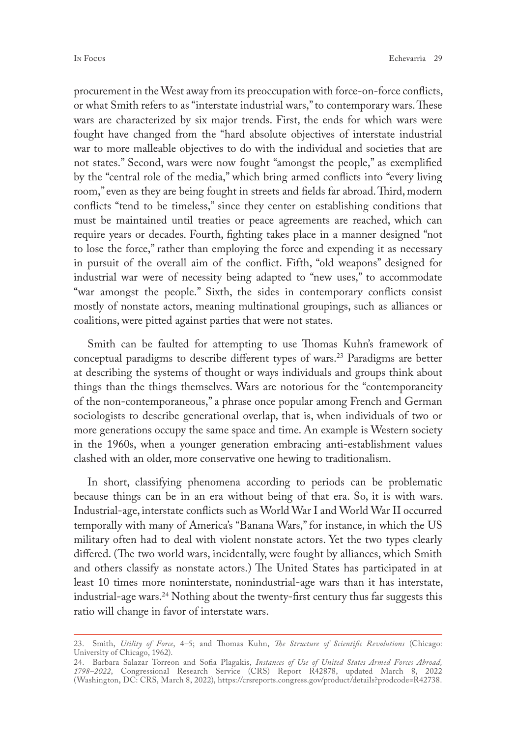procurement in the West away from its preoccupation with force-on-force conflicts, or what Smith refers to as "interstate industrial wars," to contemporary wars. These wars are characterized by six major trends. First, the ends for which wars were fought have changed from the "hard absolute objectives of interstate industrial war to more malleable objectives to do with the individual and societies that are not states." Second, wars were now fought "amongst the people," as exemplified by the "central role of the media," which bring armed conflicts into "every living room," even as they are being fought in streets and fields far abroad. Third, modern conflicts "tend to be timeless," since they center on establishing conditions that must be maintained until treaties or peace agreements are reached, which can require years or decades. Fourth, fighting takes place in a manner designed "not to lose the force," rather than employing the force and expending it as necessary in pursuit of the overall aim of the conflict. Fifth, "old weapons" designed for industrial war were of necessity being adapted to "new uses," to accommodate "war amongst the people." Sixth, the sides in contemporary conflicts consist mostly of nonstate actors, meaning multinational groupings, such as alliances or coalitions, were pitted against parties that were not states.

Smith can be faulted for attempting to use Thomas Kuhn's framework of conceptual paradigms to describe different types of wars.<sup>23</sup> Paradigms are better at describing the systems of thought or ways individuals and groups think about things than the things themselves. Wars are notorious for the "contemporaneity of the non-contemporaneous," a phrase once popular among French and German sociologists to describe generational overlap, that is, when individuals of two or more generations occupy the same space and time. An example is Western society in the 1960s, when a younger generation embracing anti-establishment values clashed with an older, more conservative one hewing to traditionalism.

In short, classifying phenomena according to periods can be problematic because things can be in an era without being of that era. So, it is with wars. Industrial-age, interstate conflicts such as World War I and World War II occurred temporally with many of America's "Banana Wars," for instance, in which the US military often had to deal with violent nonstate actors. Yet the two types clearly differed. (The two world wars, incidentally, were fought by alliances, which Smith and others classify as nonstate actors.) The United States has participated in at least 10 times more noninterstate, nonindustrial-age wars than it has interstate, industrial-age wars.<sup>24</sup> Nothing about the twenty-first century thus far suggests this ratio will change in favor of interstate wars.

<sup>23.</sup> Smith, *Utility of Force*, 4–5; and Thomas Kuhn, *The Structure of Scientific Revolutions* (Chicago: University of Chicago, 1962).

<sup>24.</sup> Barbara Salazar Torreon and Sofia Plagakis, *Instances of Use of United States Armed Forces Abroad, 1798–2022*, Congressional Research Service (CRS) Report R42878, updated March 8, 2022 (Washington, DC: CRS, March 8, 2022), [https://crsreports.congress.gov/product/details?prodcode=R42738.](https://crsreports.congress.gov/product/details?prodcode=R42738)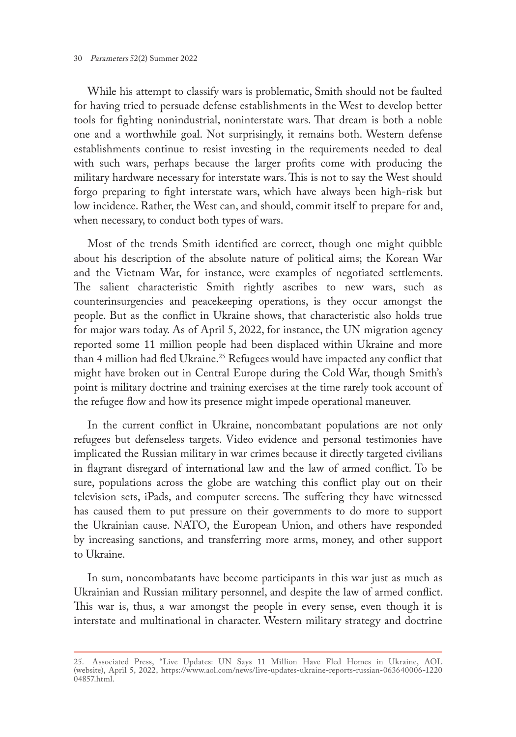While his attempt to classify wars is problematic, Smith should not be faulted for having tried to persuade defense establishments in the West to develop better tools for fighting nonindustrial, noninterstate wars. That dream is both a noble one and a worthwhile goal. Not surprisingly, it remains both. Western defense establishments continue to resist investing in the requirements needed to deal with such wars, perhaps because the larger profits come with producing the military hardware necessary for interstate wars. This is not to say the West should forgo preparing to fight interstate wars, which have always been high-risk but low incidence. Rather, the West can, and should, commit itself to prepare for and, when necessary, to conduct both types of wars.

Most of the trends Smith identified are correct, though one might quibble about his description of the absolute nature of political aims; the Korean War and the Vietnam War, for instance, were examples of negotiated settlements. The salient characteristic Smith rightly ascribes to new wars, such as counterinsurgencies and peacekeeping operations, is they occur amongst the people. But as the conflict in Ukraine shows, that characteristic also holds true for major wars today. As of April 5, 2022, for instance, the UN migration agency reported some 11 million people had been displaced within Ukraine and more than 4 million had fled Ukraine.<sup>25</sup> Refugees would have impacted any conflict that might have broken out in Central Europe during the Cold War, though Smith's point is military doctrine and training exercises at the time rarely took account of the refugee flow and how its presence might impede operational maneuver.

In the current conflict in Ukraine, noncombatant populations are not only refugees but defenseless targets. Video evidence and personal testimonies have implicated the Russian military in war crimes because it directly targeted civilians in flagrant disregard of international law and the law of armed conflict. To be sure, populations across the globe are watching this conflict play out on their television sets, iPads, and computer screens. The suffering they have witnessed has caused them to put pressure on their governments to do more to support the Ukrainian cause. NATO, the European Union, and others have responded by increasing sanctions, and transferring more arms, money, and other support to Ukraine.

In sum, noncombatants have become participants in this war just as much as Ukrainian and Russian military personnel, and despite the law of armed conflict. This war is, thus, a war amongst the people in every sense, even though it is interstate and multinational in character. Western military strategy and doctrine

<sup>25.</sup> Associated Press, "Live Updates: UN Says 11 Million Have Fled Homes in Ukraine, AOL (website), April 5, 2022, [https://www.aol.com/news/live-updates-ukraine-reports-russian-063640006-1220](https://www.aol.com/news/live-updates-ukraine-reports-russian-063640006-122004857.html) [04857.html.](https://www.aol.com/news/live-updates-ukraine-reports-russian-063640006-122004857.html)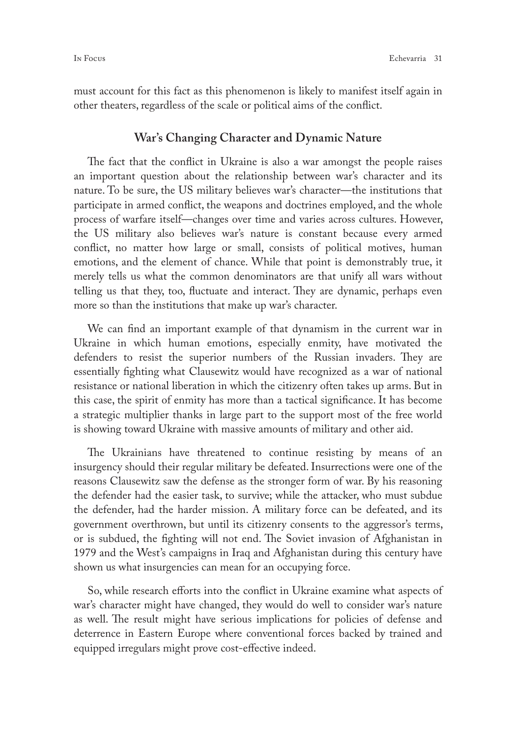must account for this fact as this phenomenon is likely to manifest itself again in other theaters, regardless of the scale or political aims of the conflict.

#### **War's Changing Character and Dynamic Nature**

The fact that the conflict in Ukraine is also a war amongst the people raises an important question about the relationship between war's character and its nature. To be sure, the US military believes war's character—the institutions that participate in armed conflict, the weapons and doctrines employed, and the whole process of warfare itself—changes over time and varies across cultures. However, the US military also believes war's nature is constant because every armed conflict, no matter how large or small, consists of political motives, human emotions, and the element of chance. While that point is demonstrably true, it merely tells us what the common denominators are that unify all wars without telling us that they, too, fluctuate and interact. They are dynamic, perhaps even more so than the institutions that make up war's character.

We can find an important example of that dynamism in the current war in Ukraine in which human emotions, especially enmity, have motivated the defenders to resist the superior numbers of the Russian invaders. They are essentially fighting what Clausewitz would have recognized as a war of national resistance or national liberation in which the citizenry often takes up arms. But in this case, the spirit of enmity has more than a tactical significance. It has become a strategic multiplier thanks in large part to the support most of the free world is showing toward Ukraine with massive amounts of military and other aid.

The Ukrainians have threatened to continue resisting by means of an insurgency should their regular military be defeated. Insurrections were one of the reasons Clausewitz saw the defense as the stronger form of war. By his reasoning the defender had the easier task, to survive; while the attacker, who must subdue the defender, had the harder mission. A military force can be defeated, and its government overthrown, but until its citizenry consents to the aggressor's terms, or is subdued, the fighting will not end. The Soviet invasion of Afghanistan in 1979 and the West's campaigns in Iraq and Afghanistan during this century have shown us what insurgencies can mean for an occupying force.

So, while research efforts into the conflict in Ukraine examine what aspects of war's character might have changed, they would do well to consider war's nature as well. The result might have serious implications for policies of defense and deterrence in Eastern Europe where conventional forces backed by trained and equipped irregulars might prove cost-effective indeed.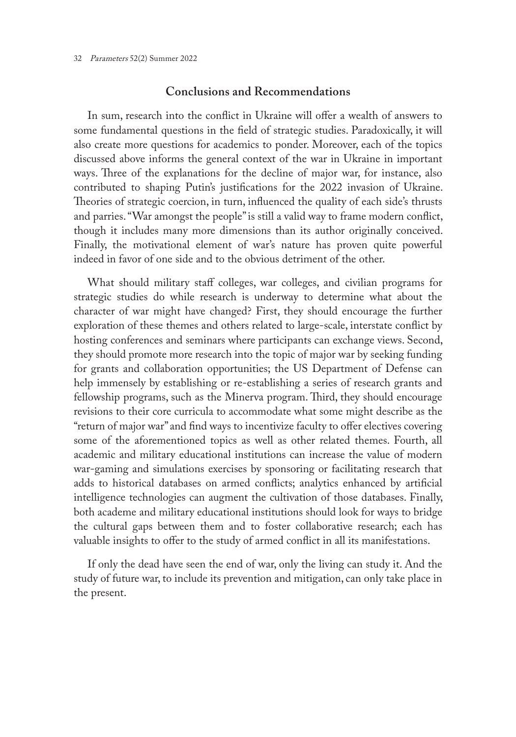#### **Conclusions and Recommendations**

In sum, research into the conflict in Ukraine will offer a wealth of answers to some fundamental questions in the field of strategic studies. Paradoxically, it will also create more questions for academics to ponder. Moreover, each of the topics discussed above informs the general context of the war in Ukraine in important ways. Three of the explanations for the decline of major war, for instance, also contributed to shaping Putin's justifications for the 2022 invasion of Ukraine. Theories of strategic coercion, in turn, influenced the quality of each side's thrusts and parries. "War amongst the people" is still a valid way to frame modern conflict, though it includes many more dimensions than its author originally conceived. Finally, the motivational element of war's nature has proven quite powerful indeed in favor of one side and to the obvious detriment of the other.

What should military staff colleges, war colleges, and civilian programs for strategic studies do while research is underway to determine what about the character of war might have changed? First, they should encourage the further exploration of these themes and others related to large-scale, interstate conflict by hosting conferences and seminars where participants can exchange views. Second, they should promote more research into the topic of major war by seeking funding for grants and collaboration opportunities; the US Department of Defense can help immensely by establishing or re-establishing a series of research grants and fellowship programs, such as the Minerva program. Third, they should encourage revisions to their core curricula to accommodate what some might describe as the "return of major war" and find ways to incentivize faculty to offer electives covering some of the aforementioned topics as well as other related themes. Fourth, all academic and military educational institutions can increase the value of modern war-gaming and simulations exercises by sponsoring or facilitating research that adds to historical databases on armed conflicts; analytics enhanced by artificial intelligence technologies can augment the cultivation of those databases. Finally, both academe and military educational institutions should look for ways to bridge the cultural gaps between them and to foster collaborative research; each has valuable insights to offer to the study of armed conflict in all its manifestations.

If only the dead have seen the end of war, only the living can study it. And the study of future war, to include its prevention and mitigation, can only take place in the present.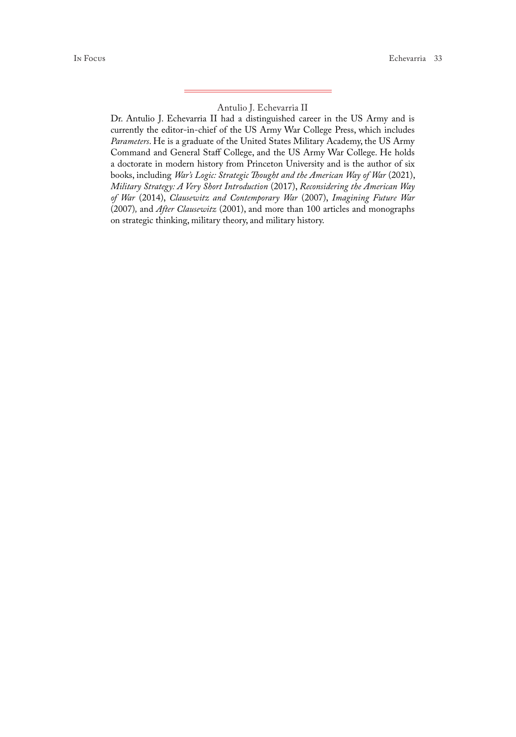#### Antulio J. Echevarria II

Dr. Antulio J. Echevarria II had a distinguished career in the US Army and is currently the editor-in-chief of the US Army War College Press, which includes *Parameters*. He is a graduate of the United States Military Academy, the US Army Command and General Staff College, and the US Army War College. He holds a doctorate in modern history from Princeton University and is the author of six books, including *War's Logic: Strategic Thought and the American Way of War* (2021), *Military Strategy: A Very Short Introduction* (2017), *Reconsidering the American Way of War* (2014), *Clausewitz and Contemporary War* (2007), *Imagining Future War*  (2007)*,* and *After Clausewitz* (2001), and more than 100 articles and monographs on strategic thinking, military theory, and military history.